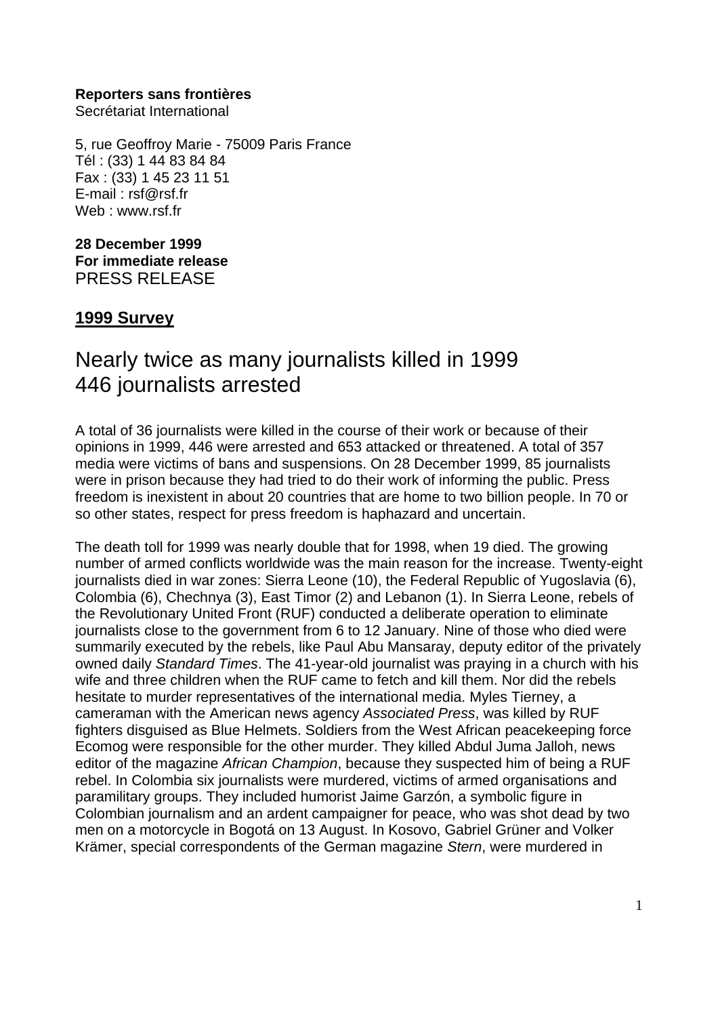#### **Reporters sans frontières**

Secrétariat International

5, rue Geoffroy Marie - 75009 Paris France Tél : (33) 1 44 83 84 84 Fax : (33) 1 45 23 11 51 E-mail : rsf@rsf.fr Web : www.rsf.fr

## **28 December 1999 For immediate release** PRESS RELEASE

# **1999 Survey**

# Nearly twice as many journalists killed in 1999 446 journalists arrested

A total of 36 journalists were killed in the course of their work or because of their opinions in 1999, 446 were arrested and 653 attacked or threatened. A total of 357 media were victims of bans and suspensions. On 28 December 1999, 85 journalists were in prison because they had tried to do their work of informing the public. Press freedom is inexistent in about 20 countries that are home to two billion people. In 70 or so other states, respect for press freedom is haphazard and uncertain.

The death toll for 1999 was nearly double that for 1998, when 19 died. The growing number of armed conflicts worldwide was the main reason for the increase. Twenty-eight journalists died in war zones: Sierra Leone (10), the Federal Republic of Yugoslavia (6), Colombia (6), Chechnya (3), East Timor (2) and Lebanon (1). In Sierra Leone, rebels of the Revolutionary United Front (RUF) conducted a deliberate operation to eliminate journalists close to the government from 6 to 12 January. Nine of those who died were summarily executed by the rebels, like Paul Abu Mansaray, deputy editor of the privately owned daily *Standard Times*. The 41-year-old journalist was praying in a church with his wife and three children when the RUF came to fetch and kill them. Nor did the rebels hesitate to murder representatives of the international media. Myles Tierney, a cameraman with the American news agency *Associated Press*, was killed by RUF fighters disguised as Blue Helmets. Soldiers from the West African peacekeeping force Ecomog were responsible for the other murder. They killed Abdul Juma Jalloh, news editor of the magazine *African Champion*, because they suspected him of being a RUF rebel. In Colombia six journalists were murdered, victims of armed organisations and paramilitary groups. They included humorist Jaime Garzón, a symbolic figure in Colombian journalism and an ardent campaigner for peace, who was shot dead by two men on a motorcycle in Bogotá on 13 August. In Kosovo, Gabriel Grüner and Volker Krämer, special correspondents of the German magazine *Stern*, were murdered in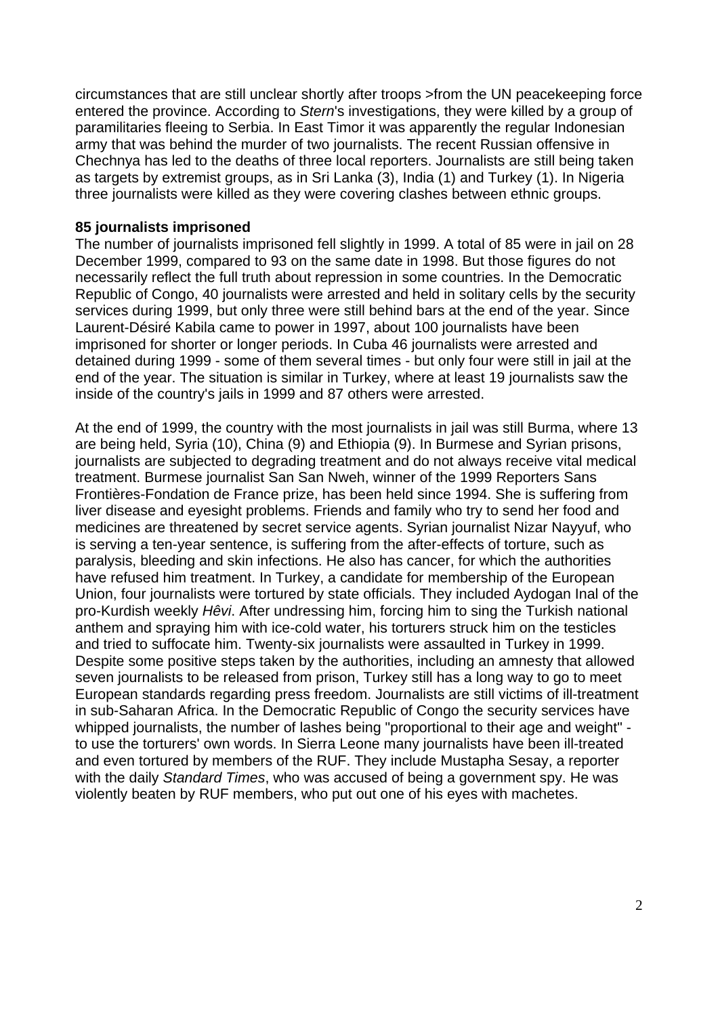circumstances that are still unclear shortly after troops >from the UN peacekeeping force entered the province. According to *Stern*'s investigations, they were killed by a group of paramilitaries fleeing to Serbia. In East Timor it was apparently the regular Indonesian army that was behind the murder of two journalists. The recent Russian offensive in Chechnya has led to the deaths of three local reporters. Journalists are still being taken as targets by extremist groups, as in Sri Lanka (3), India (1) and Turkey (1). In Nigeria three journalists were killed as they were covering clashes between ethnic groups.

### **85 journalists imprisoned**

The number of journalists imprisoned fell slightly in 1999. A total of 85 were in jail on 28 December 1999, compared to 93 on the same date in 1998. But those figures do not necessarily reflect the full truth about repression in some countries. In the Democratic Republic of Congo, 40 journalists were arrested and held in solitary cells by the security services during 1999, but only three were still behind bars at the end of the year. Since Laurent-Désiré Kabila came to power in 1997, about 100 journalists have been imprisoned for shorter or longer periods. In Cuba 46 journalists were arrested and detained during 1999 - some of them several times - but only four were still in jail at the end of the year. The situation is similar in Turkey, where at least 19 journalists saw the inside of the country's jails in 1999 and 87 others were arrested.

At the end of 1999, the country with the most journalists in jail was still Burma, where 13 are being held, Syria (10), China (9) and Ethiopia (9). In Burmese and Syrian prisons, journalists are subjected to degrading treatment and do not always receive vital medical treatment. Burmese journalist San San Nweh, winner of the 1999 Reporters Sans Frontières-Fondation de France prize, has been held since 1994. She is suffering from liver disease and eyesight problems. Friends and family who try to send her food and medicines are threatened by secret service agents. Syrian journalist Nizar Nayyuf, who is serving a ten-year sentence, is suffering from the after-effects of torture, such as paralysis, bleeding and skin infections. He also has cancer, for which the authorities have refused him treatment. In Turkey, a candidate for membership of the European Union, four journalists were tortured by state officials. They included Aydogan Inal of the pro-Kurdish weekly *Hêvi*. After undressing him, forcing him to sing the Turkish national anthem and spraying him with ice-cold water, his torturers struck him on the testicles and tried to suffocate him. Twenty-six journalists were assaulted in Turkey in 1999. Despite some positive steps taken by the authorities, including an amnesty that allowed seven journalists to be released from prison, Turkey still has a long way to go to meet European standards regarding press freedom. Journalists are still victims of ill-treatment in sub-Saharan Africa. In the Democratic Republic of Congo the security services have whipped journalists, the number of lashes being "proportional to their age and weight" to use the torturers' own words. In Sierra Leone many journalists have been ill-treated and even tortured by members of the RUF. They include Mustapha Sesay, a reporter with the daily *Standard Times*, who was accused of being a government spy. He was violently beaten by RUF members, who put out one of his eyes with machetes.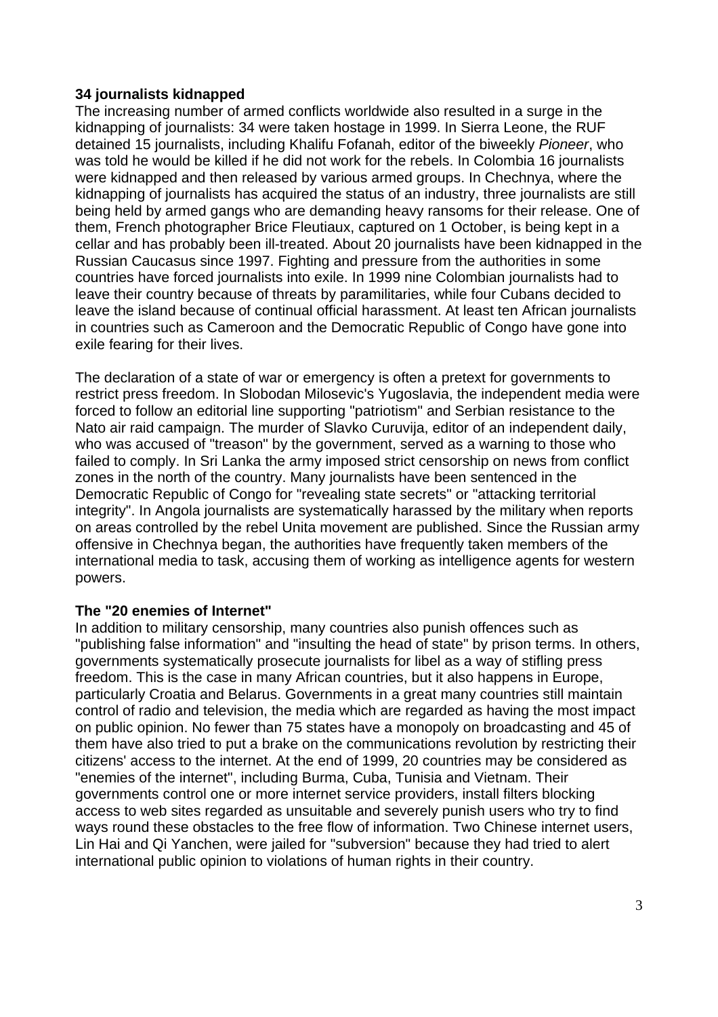# **34 journalists kidnapped**

The increasing number of armed conflicts worldwide also resulted in a surge in the kidnapping of journalists: 34 were taken hostage in 1999. In Sierra Leone, the RUF detained 15 journalists, including Khalifu Fofanah, editor of the biweekly *Pioneer*, who was told he would be killed if he did not work for the rebels. In Colombia 16 journalists were kidnapped and then released by various armed groups. In Chechnya, where the kidnapping of journalists has acquired the status of an industry, three journalists are still being held by armed gangs who are demanding heavy ransoms for their release. One of them, French photographer Brice Fleutiaux, captured on 1 October, is being kept in a cellar and has probably been ill-treated. About 20 journalists have been kidnapped in the Russian Caucasus since 1997. Fighting and pressure from the authorities in some countries have forced journalists into exile. In 1999 nine Colombian journalists had to leave their country because of threats by paramilitaries, while four Cubans decided to leave the island because of continual official harassment. At least ten African journalists in countries such as Cameroon and the Democratic Republic of Congo have gone into exile fearing for their lives.

The declaration of a state of war or emergency is often a pretext for governments to restrict press freedom. In Slobodan Milosevic's Yugoslavia, the independent media were forced to follow an editorial line supporting "patriotism" and Serbian resistance to the Nato air raid campaign. The murder of Slavko Curuvija, editor of an independent daily, who was accused of "treason" by the government, served as a warning to those who failed to comply. In Sri Lanka the army imposed strict censorship on news from conflict zones in the north of the country. Many journalists have been sentenced in the Democratic Republic of Congo for "revealing state secrets" or "attacking territorial integrity". In Angola journalists are systematically harassed by the military when reports on areas controlled by the rebel Unita movement are published. Since the Russian army offensive in Chechnya began, the authorities have frequently taken members of the international media to task, accusing them of working as intelligence agents for western powers.

### **The "20 enemies of Internet"**

In addition to military censorship, many countries also punish offences such as "publishing false information" and "insulting the head of state" by prison terms. In others, governments systematically prosecute journalists for libel as a way of stifling press freedom. This is the case in many African countries, but it also happens in Europe, particularly Croatia and Belarus. Governments in a great many countries still maintain control of radio and television, the media which are regarded as having the most impact on public opinion. No fewer than 75 states have a monopoly on broadcasting and 45 of them have also tried to put a brake on the communications revolution by restricting their citizens' access to the internet. At the end of 1999, 20 countries may be considered as "enemies of the internet", including Burma, Cuba, Tunisia and Vietnam. Their governments control one or more internet service providers, install filters blocking access to web sites regarded as unsuitable and severely punish users who try to find ways round these obstacles to the free flow of information. Two Chinese internet users, Lin Hai and Qi Yanchen, were jailed for "subversion" because they had tried to alert international public opinion to violations of human rights in their country.